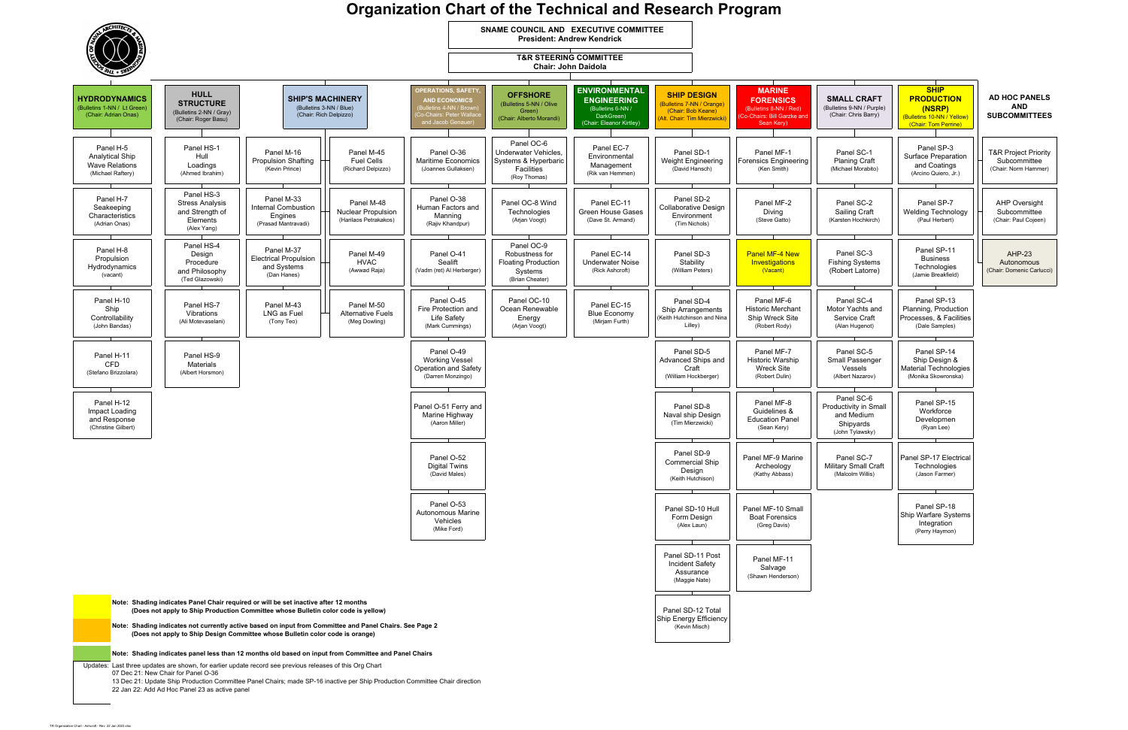## **Organization Chart of the Technical and Research Program**

| <b>SMALL CRAFT</b><br>(Bulletins 9-NN / Purple)<br>(Chair: Chris Barry)           | <b>SHIP</b><br><b>PRODUCTION</b><br>(NSRP)<br>(Bulletins 10-NN / Yellow)<br>(Chair: Tom Perrine) | <b>AD HOC PANELS</b><br>AND<br><b>SUBCOMMITTEES</b>                     |
|-----------------------------------------------------------------------------------|--------------------------------------------------------------------------------------------------|-------------------------------------------------------------------------|
| Panel SC-1<br><b>Planing Craft</b><br>(Michael Morabito)                          | Panel SP-3<br>Surface Preparation<br>and Coatings<br>(Arcino Quiero, Jr.)                        | <b>T&amp;R Project Priority</b><br>Subcommittee<br>(Chair: Norm Hammer) |
| Panel SC-2<br>Sailing Craft<br>(Karsten Hochkirch)                                | Panel SP-7<br><b>Welding Technology</b><br>(Paul Herbert)                                        | <b>AHP Oversight</b><br>Subcommittee<br>(Chair: Paul Cojeen)            |
| Panel SC-3<br><b>Fishing Systems</b><br>(Robert Latorre)                          | Panel SP-11<br><b>Business</b><br>Technologies<br>(Jamie Breakfield)                             | $AHP-23$<br>Autonomous<br>(Chair: Domenic Carlucci)                     |
| Panel SC-4<br>Motor Yachts and<br>Service Craft<br>(Alan Hugenot)                 | Panel SP-13<br>Planning, Production<br>Processes, & Facilities<br>(Dale Samples)                 |                                                                         |
| Panel SC-5<br>Small Passenger<br>Vessels<br>(Albert Nazarov)                      | Panel SP-14<br>Ship Design &<br><b>Material Technologies</b><br>(Monika Skowronska)              |                                                                         |
| Panel SC-6<br>Productivity in Small<br>and Medium<br>Shipyards<br>(John Tylawsky) | Panel SP-15<br>Workforce<br>Developmen<br>(Ryan Lee)                                             |                                                                         |
| Panel SC-7<br>Military Small Craft<br>(Malcolm Willis)                            | Panel SP-17 Electrical<br>Technologies<br>(Jason Farmer)                                         |                                                                         |
|                                                                                   | Panel SP-18<br>Ship Warfare Systems<br>Integration<br>(Perry Haymon)                             |                                                                         |